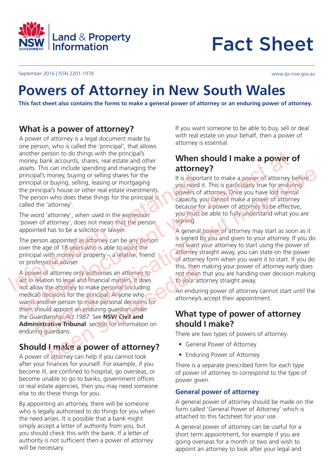

# Fact Sheet

September 2016 | ISSN 2201-1978 www.lpi.nsw.gov.au

# **Powers of Attorney in New South Wales**

**This fact sheet also contains the forms to make a general power of attorney or an enduring power of attorney.**

## **What is a power of attorney?**

A power of attorney is a legal document made by one person, who is called the 'principal', that allows another person to do things with the principal's money, bank accounts, shares, real estate and other assets. This can include spending and managing the principal's money, buying or selling shares for the principal or buying, selling, leasing or mortgaging the principal's house or other real estate investments. The person who does these things for the principal is called the 'attorney'. principal's money, buying or selling shares for the<br>
principal or buying, selling, leasing or mortgaging<br>
the principal's house or other real estate investments.<br>
The person who does these things for the principal is<br>
(The money, bank accounts, shares, real estate and other pressure at the principal since at a movement was seen at a movement of the principal since at a movement of the principal since or the real estate investments.<br>
The pers

The word 'attorney', when used in the expression 'power of attorney', does not mean that the person appointed has to be a solicitor or lawyer.

The person appointed as attorney can be any person over the age of 18 years who is able to assist the principal with money or property – a relative, friend or professional adviser.

A power of attorney only authorises an attorney to act in relation to legal and financial matters. It does not allow the attorney to make personal (including medical) decisions for the principal. Anyone who wants another person to make personal decisions for them should appoint an enduring guardian under the *Guardianship Act 1987*. See **NSW Civil and Administrative Tribunal** section for information on enduring guardians. Example the state of the publication of the control of the state income the publication of the publication of the publication of the publication of the publication of the publication of the publication of the publication o this, then<br>
fattorney only authorises an attorney to<br>
this, then<br>
not mean<br>
income to legal and financial matters It does<br>
to your a<br>
the attorney to make personal dircluding<br>
ecisions for the principal. Anyone who<br>
ld app

## **Should I make a power of attorney?**

A power of attorney can help if you cannot look after your finances for yourself. For example, if you become ill, are confined to hospital, go overseas, or become unable to go to banks, government offices or real estate agencies, then you may need someone else to do these things for you.

By appointing an attorney, there will be someone who is legally authorised to do things for you when the need arises. It is possible that a bank might simply accept a letter of authority from you, but you should check this with the bank. If a letter of authority is not sufficient then a power of attorney will be necessary.

If you want someone to be able to buy, sell or deal with real estate on your behalf, then a power of attorney is essential.

## **When should I make a power of attorney?**

It is important to make a power of attorney before you need it. This is particularly true for enduring powers of attorney. Once you have lost mental capacity, you cannot make a power of attorney because for a power of attorney to be effective, you must be able to fully understand what you are signing.

A general power of attorney may start as soon as it is signed by you and given to your attorney. If you do not want your attorney to start using the power of attorney straight away, you can state on the power of attorney form when you want it to start. If you do this, then making your power of attorney early does not mean that you are handing over decision making to your attorney straight away.

An enduring power of attorney cannot start until the attorney/s accept their appointment.

## **What type of power of attorney should I make?**

There are two types of powers of attorney:

- General Power of Attorney
- Enduring Power of Attorney.

There is a separate prescribed form for each type of power of attorney to correspond to the type of power given.

### **General power of attorney**

A general power of attorney should be made on the form called 'General Power of Attorney' which is attached to this factsheet for your use.

A general power of attorney can be useful for a short term appointment, for example if you are going overseas for a month or two and wish to appoint an attorney to look after your legal and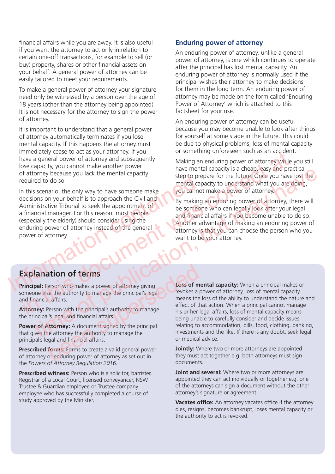financial affairs while you are away. It is also useful if you want the attorney to act only in relation to certain one-off transactions, for example to sell (or buy) property, shares or other financial assets on your behalf. A general power of attorney can be easily tailored to meet your requirements.

To make a general power of attorney your signature need only be witnessed by a person over the age of 18 years (other than the attorney being appointed). It is not necessary for the attorney to sign the power of attorney.

It is important to understand that a general power of attorney automatically terminates if you lose mental capacity. If this happens the attorney must immediately cease to act as your attorney. If you have a general power of attorney and subsequently lose capacity, you cannot make another power of attorney because you lack the mental capacity required to do so.

In this scenario, the only way to have someone make decisions on your behalf is to approach the Civil and Administrative Tribunal to seek the appointment of a financial manager. For this reason, most people (especially the elderly) should consider using the enduring power of attorney instead of the general power of attorney. Explanation of terms<br>
Principal: Person who makes a power of attorney giving<br>
The Containing Containing the containing over the containing over the terms of the containing over the attorney instead of the general<br>
Principa mediately case to act as your antontomy. The correct at a specially the decisions on your control at a special to do so.<br>
This is control at a special correct at a special correct at a special correct at a special correct

### **Enduring power of attorney**

An enduring power of attorney, unlike a general power of attorney, is one which continues to operate after the principal has lost mental capacity. An enduring power of attorney is normally used if the principal wishes their attorney to make decisions for them in the long term. An enduring power of attorney may be made on the form called 'Enduring Power of Attorney' which is attached to this factsheet for your use.

An enduring power of attorney can be useful because you may become unable to look after things for yourself at some stage in the future. This could be due to physical problems, loss of mental capacity or something unforeseen such as an accident.

Making an enduring power of attorney while you still have mental capacity is a cheap, easy and practical step to prepare for the future. Once you have lost the mental capacity to understand what you are doing, you cannot make a power of attorney.

By making an enduring power of attorney, there will be someone who can legally look after your legal and financial affairs if you become unable to do so. Another advantage of making an enduring power of attorney is that you can choose the person who you want to be your attorney.

## **Explanation of terms**

**Principal:** Person who makes a power of attorney giving someone else the authority to manage the principal's legal and financial affairs. **Example 19 Accord 19 Accord 20 Accord 20 Accord 20 Accord 20 Accord 20 Accord 20 Accord 20 Accord 20 Accord 20 Accord 20 Accord 20 Accord 20 Accord 20 Accord 20 Accord 20 Accord 20 Accord 20 Accord 20 Accord 20 Accord 20** 

Attorney: Person with the principal's authority to manage the principal's legal and financial affairs.

**Power of Attorney:** A document signed by the principal that gives the attorney the authority to manage the principal's legal and financial affairs.

**Prescribed forms:** Forms to create a valid general power of attorney or enduring power of attorney as set out in the *Powers of Attorney Regulation 2016*.

**Prescribed witness:** Person who is a solicitor, barrister, Registrar of a Local Court, licensed conveyancer, NSW Trustee & Guardian employee or Trustee company employee who has successfully completed a course of study approved by the Minister.

**Loss of mental capacity:** When a principal makes or revokes a power of attorney, loss of mental capacity means the loss of the ability to understand the nature and effect of that action. When a principal cannot manage his or her legal affairs, loss of mental capacity means being unable to carefully consider and decide issues relating to accommodation, bills, food, clothing, banking, investments and the like. If there is any doubt, seek legal or medical advice. The publication of the metallity of the metallity of the publication of the metallity of the publication of the metallity of the metallity of the metallity of the metallity of the metallity of the metallity of the metallit

> **Jointly:** Where two or more attorneys are appointed they must act together e.g. both attorneys must sign documents.

**Joint and several:** Where two or more attorneys are appointed they can act individually or together e.g. one of the attorneys can sign a document without the other attorney's signature or agreement.

**Vacates office:** An attorney vacates office if the attorney dies, resigns, becomes bankrupt, loses mental capacity or the authority to act is revoked.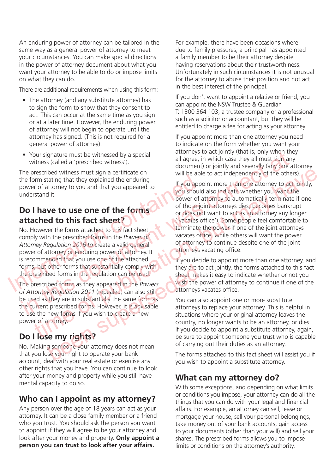An enduring power of attorney can be tailored in the same way as a general power of attorney to meet your circumstances. You can make special directions in the power of attorney document about what you want your attorney to be able to do or impose limits on what they can do.

There are additional requirements when using this form:

- The attorney (and any substitute attorney) has to sign the form to show that they consent to act. This can occur at the same time as you sign or at a later time. However, the enduring power of attorney will not begin to operate until the attorney has signed. (This is not required for a general power of attorney).
- Your signature must be witnessed by a special witness (called a 'prescribed witness').

The prescribed witness must sign a certificate on the form stating that they explained the enduring power of attorney to you and that you appeared to understand it.

## **Do I have to use one of the forms attached to this fact sheet?**

No. However the forms attached to this fact sheet comply with the prescribed forms in the *Powers of Attorney Regulation 2016* to create a valid general power of attorney or enduring power of attorney. It is recommended that you use one of the attached forms, but other forms that substantially comply with the prescribed forms in the regulation can be used. The prescribed forms as they appeared in the Powers<br>
The prescribed forms are the regulation 2016 to the set of the forms of a<br>
Information contained to the set of the forms attached to this fact sheet<br>
No. However the for

The prescribed forms as they appeared in the *Powers of Attorney Regulation 2011* (repealed) can also still be used as they are in substantially the same form as the current prescribed forms. However, it is advisable to use the new forms if you wish to create a new power of attorney. other forms that substantially comply with<br>
beel forms in the regulation can be used.<br>
beet ma<br>
beet man<br>
been substantially the same form as<br>
they are in substantially the same form as<br>
they are in substantially the same

## **Do I lose my rights?**

No. Making someone your attorney does not mean that you lose your right to operate your bank account, deal with your real estate or exercise any other rights that you have. You can continue to look after your money and property while you still have mental capacity to do so.

## **Who can I appoint as my attorney?**

Any person over the age of 18 years can act as your attorney. It can be a close family member or a friend who you trust. You should ask the person you want to appoint if they will agree to be your attorney and look after your money and property. **Only appoint a person you can trust to look after your affairs.**

For example, there have been occasions where due to family pressures, a principal has appointed a family member to be their attorney despite having reservations about their trustworthiness. Unfortunately in such circumstances it is not unusual for the attorney to abuse their position and not act in the best interest of the principal.

If you don't want to appoint a relative or friend, you can appoint the NSW Trustee & Guardian T: 1300 364 103, a trustee company or a professional such as a solicitor or accountant, but they will be entitled to charge a fee for acting as your attorney.

If you appoint more than one attorney you need to indicate on the form whether you want your attorneys to act jointly (that is, only when they all agree, in which case they all must sign any document) or jointly and severally (any one attorney will be able to act independently of the others).

If you appoint more than one attorney to act jointly, you should also indicate whether you want the power of attorney to automatically terminate if one of those joint attorneys dies, becomes bankrupt or does not want to act as an attorney any longer ('vacates office'). Some people feel comfortable to terminate the power if one of the joint attorneys vacates office, while others will want the power of attorney to continue despite one of the joint attorneys vacating office. • Your signature must be witnessed by a special<br>
all agree, in which case they all must sign any<br>
the prescribed witness).<br>
The prescribed witness?<br>
the form stating that they explained the enduring<br>
the form stating that the animal may have the mean to the specified at the set of a tower state of a tomograp of the specified the set of a tomograp of the set of the set of the set of the set of the set of the set of the set of the set of the

If you decide to appoint more than one attorney, and they are to act jointly, the forms attached to this fact sheet makes it easy to indicate whether or not you wish the power of attorney to continue if one of the attorneys vacates office.

You can also appoint one or more substitute attorneys to replace your attorney. This is helpful in situations where your original attorney leaves the country, no longer wants to be an attorney, or dies. If you decide to appoint a substitute attorney, again, be sure to appoint someone you trust who is capable of carrying out their duties as an attorney.

The forms attached to this fact sheet will assist you if you wish to appoint a substitute attorney.

## **What can my attorney do?**

With some exceptions, and depending on what limits or conditions you impose, your attorney can do all the things that you can do with your legal and financial affairs. For example, an attorney can sell, lease or mortgage your house, sell your personal belongings, take money out of your bank accounts, gain access to your documents (other than your will) and sell your shares. The prescribed forms allows you to impose limits or conditions on the attorney's authority.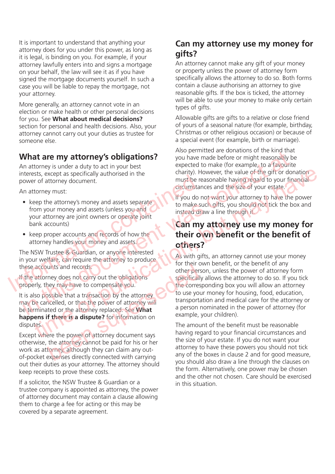It is important to understand that anything your attorney does for you under this power, as long as it is legal, is binding on you. For example, if your attorney lawfully enters into and signs a mortgage on your behalf, the law will see it as if you have signed the mortgage documents yourself. In such a case you will be liable to repay the mortgage, not your attorney.

More generally, an attorney cannot vote in an election or make health or other personal decisions for you. See **What about medical decisions?**  section for personal and health decisions. Also, your attorney cannot carry out your duties as trustee for someone else.

## **What are my attorney's obligations?**

An attorney is under a duty to act in your best interests, except as specifically authorised in the power of attorney document.

An attorney must:

- keep the attorney's money and assets separate from your money and assets (unless you and your attorney are joint owners or operate joint bank accounts) must be methods, except as specifically automsed in the must be responsed in the must be responsed in the must<br>
An attorney must:<br>
<br>
An attorney must:<br>
<br>
Seep the attorney are joint owners or operate joint<br>
your attorney a
	- keep proper accounts and records of how the attorney handles your money and assets.

The NSW Trustee & Guardian, or anyone interested in your welfare, can require the attorney to produce these accounts and records.

If the attorney does not carry out the obligations properly, they may have to compensate you.

It is also possible that a transaction by the attorney may be cancelled, or that the power of attorney will be terminated or the attorney replaced. See **What happens if there is a dispute?** for information on disputes. which is and records.<br>
They does not carry out the obligations<br>
other per<br>
other person<br>
specifical<br>
subside that a transaction by the attorney<br>
other persuaded or the attorney replaced. See What<br>
of the corre<br>
other perso

Except where the power of attorney document says otherwise, the attorney cannot be paid for his or her work as attorney, although they can claim any outof-pocket expenses directly connected with carrying out their duties as your attorney. The attorney should keep receipts to prove these costs.

If a solicitor, the NSW Trustee & Guardian or a trustee company is appointed as attorney, the power of attorney document may contain a clause allowing them to charge a fee for acting or this may be covered by a separate agreement.

## **Can my attorney use my money for gifts?**

An attorney cannot make any gift of your money or property unless the power of attorney form specifically allows the attorney to do so. Both forms contain a clause authorising an attorney to give reasonable gifts. If the box is ticked, the attorney will be able to use your money to make only certain types of gifts.

Allowable gifts are gifts to a relative or close friend of yours of a seasonal nature (for example, birthday, Christmas or other religious occasion) or because of a special event (for example, birth or marriage).

Also permitted are donations of the kind that you have made before or might reasonably be expected to make (for example, to a favourite charity). However, the value of the gift or donation must be reasonable having regard to your financial circumstances and the size of your estate.

If you do not want your attorney to have the power to make such gifts, you should not tick the box and instead draw a line through it.

## **Can my attorney use my money for their own benefit or the benefit of others?**

As with gifts, an attorney cannot use your money for their own benefit, or the benefit of any other person, unless the power of attorney form specifically allows the attorney to do so. If you tick the corresponding box you will allow an attorney to use your money for housing, food, education, transportation and medical care for the attorney or a person nominated in the power of attorney (for example, your children). What are my attorney's obligations?<br>
An attorney is under a duty to act in your best<br>
An attorney is under a duty to act in your best<br>
therests, except as specifically authorised in the<br>
net example, the value of the given the eraspondent of the reaction of the term of a publication of the term of a public term of a public term of the term of the term of the research of the research of the computation of the state. The publication of the sta

The amount of the benefit must be reasonable having regard to your financial circumstances and the size of your estate. If you do not want your attorney to have these powers you should not tick any of the boxes in clause 2 and for good measure, you should also draw a line through the clauses on the form. Alternatively, one power may be chosen and the other not chosen. Care should be exercised in this situation.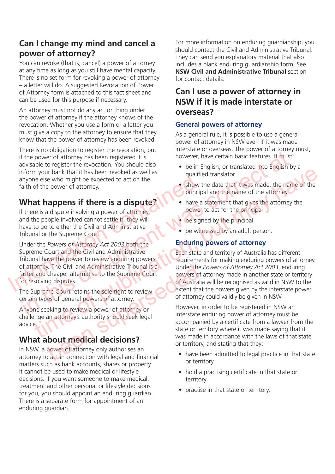## **Can I change my mind and cancel a power of attorney?**

You can revoke (that is, cancel) a power of attorney at any time as long as you still have mental capacity. There is no set form for revoking a power of attorney – a letter will do. A suggested Revocation of Power of Attorney form is attached to this fact sheet and can be used for this purpose if necessary.

An attorney must not do any act or thing under the power of attorney if the attorney knows of the revocation. Whether you use a form or a letter you must give a copy to the attorney to ensure that they know that the power of attorney has been revoked.

There is no obligation to register the revocation, but if the power of attorney has been registered it is advisable to register the revocation. You should also inform your bank that it has been revoked as well as anyone else who might be expected to act on the faith of the power of attorney.

## **What happens if there is a dispute?**

If there is a dispute involving a power of attorney and the people involved cannot settle it, they will have to go to either the Civil and Administrative Tribunal or the Supreme Court.

Under the *Powers of Attorney Act 2003* both the Supreme Court and the Civil and Administrative Tribunal have the power to review enduring powers of attorney. The Civil and Administrative Tribunal is a faster and cheaper alternative to the Supreme Court for resolving disputes. anyone else who might be expected to act on the<br>
faith of the power of attorney.<br> **What happens if there is a dispute?**<br>
If there is a dispute involving a power of attorney<br>
If there is a dispute involving a power of attor

The Supreme Court retains the sole right to review certain types of general powers of attorney.

Anyone seeking to review a power of attorney or challenge an attorney's authority should seek legal advice. Figure 11 Under the Court of Australian Court etains the sole right to review<br>
extent the sole right to review<br>
extent the sole right to review<br>
extent the sole right to review<br>
extent the sole right to review<br>
extent the

## **What about medical decisions?**

In NSW, a power of attorney only authorises an attorney to act in connection with legal and financial matters such as bank accounts, shares or property. It cannot be used to make medical or lifestyle decisions. If you want someone to make medical, treatment and other personal or lifestyle decisions for you, you should appoint an enduring guardian. There is a separate form for appointment of an enduring guardian.

For more information on enduring guardianship, you should contact the Civil and Administrative Tribunal. They can send you explanatory material that also includes a blank enduring guardianship form. See **NSW Civil and Administrative Tribunal** section for contact details.

## **Can I use a power of attorney in NSW if it is made interstate or overseas?**

### **General powers of attorney**

As a general rule, it is possible to use a general power of attorney in NSW even if it was made interstate or overseas. The power of attorney must, however, have certain basic features. It must:

- be in English, or translated into English by a qualified translator
- show the date that it was made, the name of the principal and the name of the attorney
- have a statement that gives the attorney the power to act for the principal
- be signed by the principal
- be witnessed by an adult person.

## **Enduring powers of attorney**

Each state and territory of Australia has different requirements for making enduring powers of attorney. Under the *Powers of Attorney Act 2003*, enduring powers of attorney made in another state or territory of Australia will be recognised as valid in NSW to the extent that the powers given by the interstate power of attorney could validly be given in NSW. Fith prover of attorney to act in the subset of attorney in order to the subset of attorney and the sected in the sected in the sected in the sected in the sected in the sected in the sected in the sected in the sected of The the seaking the expected to act on the measurable expected to act on the may be equalitied translator<br>
of the power of attomey.<br>
The publication of the publications and the name of the attention of the power of attomey

However, in order to be registered in NSW an interstate enduring power of attorney must be accompanied by a certificate from a lawyer from the state or territory where it was made saying that it was made in accordance with the laws of that state or territory, and stating that they:

- have been admitted to legal practice in that state or territory
- hold a practising certificate in that state or territory
- practise in that state or territory.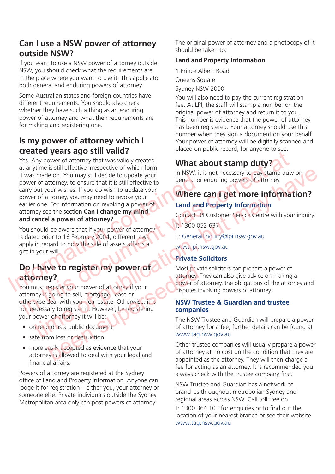## **Can I use a NSW power of attorney outside NSW?**

If you want to use a NSW power of attorney outside NSW, you should check what the requirements are in the place where you want to use it. This applies to both general and enduring powers of attorney.

Some Australian states and foreign countries have different requirements. You should also check whether they have such a thing as an enduring power of attorney and what their requirements are for making and registering one.

## **Is my power of attorney which I created years ago still valid?**

Yes. Any power of attorney that was validly created at anytime is still effective irrespective of which form it was made on. You may still decide to update your power of attorney, to ensure that it is still effective to carry out your wishes. If you do wish to update your power of attorney, you may need to revoke your earlier one. For information on revoking a power of attorney see the section **Can I change my mind and cancel a power of attorney?** It was made on. You may still decide to update your<br>
power of attorney, to ensure that it is still effective to<br>
carry out your wishes. If you do wish to update your<br>
power of attorney searlier one. For information on revo Contact UP Customers and the sale of assets affects and the sale of attorney and the sale of attorney to a series the propose of attorney to the sale of a series and the sale of a series and the sale of a series at the sal For a surface the summarized with the state of alterney for a summarized with the state of publication of the state of the state of the state of the state of the state of the state of the state of the state of the state of

You should be aware that if your power of attorney is dated prior to 16 February 2004, different laws apply in regard to how the sale of assets affects a gift in your will.

## **Do I have to register my power of attorney?**

You must register your power of attorney if your attorney is going to sell, mortgage, lease or otherwise deal with your real estate. Otherwise, it is not necessary to register it. However, by registering your power of attorney it will be: We to register my power of<br>
egister your power of attorney if your<br>
going to sell, mortgage, lease or<br>
deal with your real estate. Otherwise, it is<br>
disputes in<br>
disputes in<br>
disputes in<br>
disputes in<br>
disputes in<br>
disputes

- on record as a public document
- safe from loss or destruction
- more easily accepted as evidence that your attorney is allowed to deal with your legal and financial affairs.

Powers of attorney are registered at the Sydney office of Land and Property Information. Anyone can lodge it for registration – either you, your attorney or someone else. Private individuals outside the Sydney Metropolitan area only can post powers of attorney.

The original power of attorney and a photocopy of it should be taken to:

### **Land and Property Information**

1 Prince Albert Road Queens Square Sydney NSW 2000

You will also need to pay the current registration fee. At LPI, the staff will stamp a number on the original power of attorney and return it to you. This number is evidence that the power of attorney has been registered. Your attorney should use this number when they sign a document on your behalf. Your power of attorney will be digitally scanned and placed on public record, for anyone to see.

## **What about stamp duty?**

In NSW, it is not necessary to pay stamp duty on general or enduring powers of attorney.

# **Where can I get more information?**

### **Land and Property Information**

Contact LPI Customer Service Centre with your inquiry. T: 1300 052 637

E: GeneralEnquiry@lpi.nsw.gov.au

www.lpi.nsw.gov.au

### **Private Solicitors**

Most private solicitors can prepare a power of attorney. They can also give advice on making a power of attorney, the obligations of the attorney and disputes involving powers of attorney.

#### **NSW Trustee & Guardian and trustee companies**

The NSW Trustee and Guardian will prepare a power of attorney for a fee, further details can be found at www.tag.nsw.gov.au

Other trustee companies will usually prepare a power of attorney at no cost on the condition that they are appointed as the attorney. They will then charge a fee for acting as an attorney. It is recommended you always check with the trustee company first.

NSW Trustee and Guardian has a network of branches throughout metropolian Sydney and regional areas across NSW. Call toll free on

T: 1300 364 103 for enquiries or to find out the location of your nearest branch or see their website www.tag.nsw.gov.au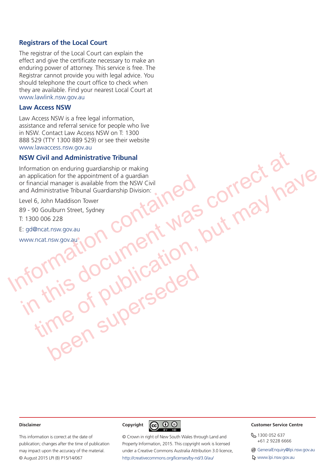#### **Registrars of the Local Court**

The registrar of the Local Court can explain the effect and give the certificate necessary to make an enduring power of attorney. This service is free. The Registrar cannot provide you with legal advice. You should telephone the court office to check when they are available. Find your nearest Local Court at www.lawlink.nsw.gov.au

#### **Law Access NSW**

Law Access NSW is a free legal information, assistance and referral service for people who live in NSW. Contact Law Access NSW on T: 1300 888 529 (TTY 1300 889 529) or see their website www.lawaccess.nsw.gov.au

#### **NSW Civil and Administrative Tribunal**

Information on enduring guardianship or making an application for the appointment of a guardian or financial manager is available from the NSW Civil and Administrative Tribunal Guardianship Division: an application for the appointment of a guardian<br>
or financial manager is available from the NSW Civil<br>
and Administrative Tribunal Guardianship Division:<br>
Level 6, John Maddison Tower<br>
89 - 90 Goulburn Street, Sydney<br>
T: NET AND COUNTREACT AND SCREEN AND REAL ARTS AND MISS OF PUDICAL AND A STREAM AND REAL AND REAL AND REAL AND REAL AND REAL AND REAL AND REAL AND REAL AND REAL AND REAL AND REAL AND REAL AND REAL AND REAL AND REAL AND REAL A Helication for the appointment of a guardian contraction in the Navignous Contraction of the appointment of a guardian single from the NSW Civil<br>Addition for the appointment of a guardian single from the NSW Civil<br>And Marc

Level 6, John Maddison Tower

89 - 90 Goulburn Street, Sydney

T: 1300 006 228

E: gd@ncat.nsw.gov.au

www.ncat.nsw.gov.au

#### **Disclaimer**

This information is correct at the date of publication; changes after the time of publication may impact upon the accuracy of the material. © August 2015 LPI (B) P15/14/067



been superseded

© Crown in right of New South Wales through Land and Property Information, 2015. This copyright work is licensed under a Creative Commons Australia Attribution 3.0 licence, http://creativecommons.org/licenses/by-nd/3.0/au/

#### **Customer Service Centre**

8 1300 052 637 +61 2 9228 6666

@ GeneralEnquiry@lpi.nsw.gov.au

www.lpi.nsw.gov.au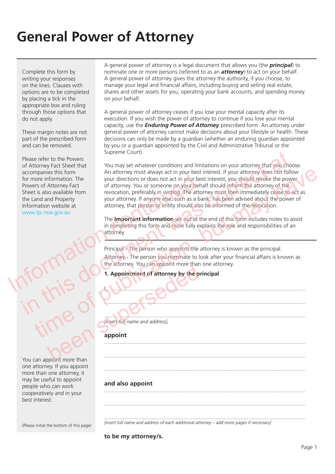Complete this form by writing your responses on the lines. Clauses with options are to be completed by placing a tick in the appropriate box and ruling through those options that do not apply.

These margin notes are not part of the prescribed form and can be removed.

Please refer to the Powers of Attorney Fact Sheet that accompanies this form for more information. The Powers of Attorney Fact Sheet is also available from the Land and Property Information website at www.lpi.nsw.gov.au

You can appoint more than one attorney. If you appoint more than one attorney, it been superseded

may be useful to appoint people who can work cooperatively and in your best interest.

(Please initial the bottom of this page)

A general power of attorney is a legal document that allows you (the *principal*) to nominate one or more persons (referred to as an *attorney*) to act on your behalf. A general power of attorney gives the attorney the authority, if you choose, to manage your legal and financial affairs, including buying and selling real estate, shares and other assets for you, operating your bank accounts, and spending money on your behalf.

A general power of attorney ceases if you lose your mental capacity after its execution. If you wish the power of attorney to continue if you lose your mental capacity, use the *Enduring Power of Attorney* prescribed form. An attorney under general power of attorney cannot make decisions about your lifestyle or health. These decisions can only be made by a guardian (whether an enduring guardian appointed by you or a guardian appointed by the Civil and Administrative Tribunal or the Supreme Court).

You may set whatever conditions and limitations on your attorney that you choose. An attorney must always act in your best interest. If your attorney does not follow your directions or does not act in your best interest, you should revoke the power of attorney. You or someone on your behalf should inform the attorney of the revocation, preferably in writing. The attorney must then immediately cease to act as your attorney. If anyone else, such as a bank, has been advised about the power of attorney, that person or entity should also be informed of the revocation. France information. The students of attorney or does not act in your be Powers of Attorney Fact<br>
Sheet is also available from the revocation, preferably in writing. The atto<br>
the Land and Property your attorney. If anyone Please refer to the Powers<br>
of Attorney Fact Sheet that<br>
accompanies this form<br>
of Attorney Fact Sheet that<br>
accompanies this form<br>
for more information. The<br>
or wersc of Attorney at what a attorney, You concrete at the po mpanies this form and more jumping the interest. If your detections or does not at in your best interest, you should revoke the power<br>there is of Attorney Fact of attorney. You or someone on your behalf should inform the a

The **Important Information** set out at the end of this form includes notes to assist in completing this form and more fully explains the role and responsibilities of an attorney.

Principal - The person who appoints the attorney is known as the principal. Attorney - The person you nominate to look after your financial affairs is known as the attorney. You can appoint more than one attorney.

I, ..............................................................................................................................

..................................................................................................................................

..................................................................................................................................

..................................................................................................................................

..................................................................................................................................

#### **1. Appointment of attorney by the principal**

#### .................................................................................................................................. *[insert full name and address],*

#### **appoint**

#### **and also appoint**

..................................................................................................................................

..................................................................................................................................

.................................................................................................................................. *[insert full name and address of each additional attorney – add more pages if necessary]*

#### **to be my attorney/s.**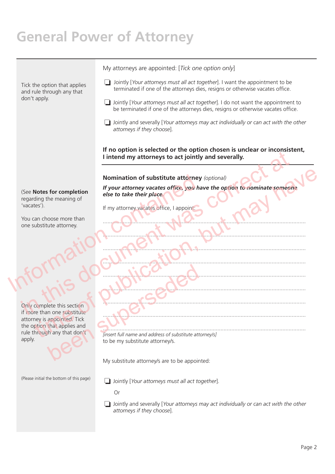Tick the option that applies and rule through any that don't apply. (See **Notes for completion** regarding the meaning of 'vacates'). You can choose more than one substitute attorney. Only complete this section if more than one substitute attorney is appointed. Tick the option that applies and rule through any that don't apply. (Please initial the bottom of this page) My attorneys are appointed: [*Tick one option only*] ❏ Jointly [*Your attorneys must all act together*]. I want the appointment to be terminated if one of the attorneys dies, resigns or otherwise vacates office. ❏ Jointly [*Your attorneys must all act together*]. I do not want the appointment to be terminated if one of the attorneys dies, resigns or otherwise vacates office. ❏ Jointly and severally [*Your attorneys may act individually or can act with the other attorneys if they choose*]. **If no option is selected or the option chosen is unclear or inconsistent, I intend my attorneys to act jointly and severally. Nomination of substitute attorney** *(optional) If your attorney vacates office, you have the option to nominate someone else to take their place.* If my attorney vacates office, I appoint: ................................................................................................................................... ................................................................................................................................... ................................................................................................................................... ................................................................................................................................... ................................................................................................................................... ................................................................................................................................... ................................................................................................................................... ................................................................................................................................... ................................................................................................................................... *[insert full name and address of substitute attorney/s]* to be my substitute attorney/s. My substitute attorney/s are to be appointed: ❏ Jointly [*Your attorneys must all act together*]. Or Nomination of substitute attorney<br>
(See Notes for completion<br>
regarding the meaning of<br>
"Vacates").<br>
You can choose more than<br>
one substitute attorney.<br>
The contact of the contact of the contact of the contact of the conta Finded my attorney's to act jointly and severally.<br>
See Notes for completion<br>
regarding the meaning of<br>
regarding the meaning of<br>
Your attorney vacates of the your have the option to nominate someon<br>
You can choose more th Notes for completion<br>
If your attomey vacates office, you have the option to nominate someone<br>
ding the meaning of<br>
timy attorney vacates office, you have the option to nominate someone<br>
tes.).<br>
Substitute attorney<br>
and no Many that applies and<br>the appointed. Tick<br>that applies and<br>the my substitute attorney's.

> ❏ Jointly and severally [*Your attorneys may act individually or can act with the other attorneys if they choose*].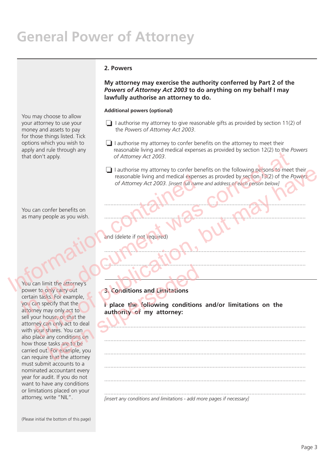#### **2. Powers**

**My attorney may exercise the authority conferred by Part 2 of the**  *Powers of Attorney Act 2003* **to do anything on my behalf I may lawfully authorise an attorney to do.**

#### **Additional powers (optional)**

- ❏ I authorise my attorney to give reasonable gifts as provided by section 11(2) of the *Powers of Attorney Act 2003*.
- ❏ I authorise my attorney to confer benefits on the attorney to meet their reasonable living and medical expenses as provided by section 12(2) to the *Powers of Attorney Act 2003*.
- ❏ I authorise my attorney to confer benefits on the following persons to meet their reasonable living and medical expenses as provded by section 13(2) of the *Powers of Attorney Act 2003. [insert full name and address of each person below]* reasonable living and medical expenses<br>
of Attorney Act 2003. linsert full hame<br>
You can confer benefits on<br>
as many people as you wish.<br>
You can limit the attorney's<br>
You can limit the attorney's<br>
You can limit the attorn Figure at the Column of Altomay Act 2003.<br>
That don't apply,<br>
of Altomay Act 2003.<br>
The confer benefits on the following persons to meet<br>
of Altomay Act 2003.<br>
The confer benefits on the following and medical expenses as p The contribution of the contribution of the contribution of the contribution of the control of a strong and the control of the control of the control of the control of the control of the control of the control of the contr

..................................................................................................................................

..................................................................................................................................

..................................................................................................................................

..................................................................................................................................

..................................................................................................................................

..................................................................................................................................

..................................................................................................................................

..................................................................................................................................

..................................................................................................................................

..................................................................................................................................

You can confer benefits on as many people as you wish.

You may choose to allow your attorney to use your money and assets to pay for those things listed. Tick options which you wish to apply and rule through any

that don't apply.

You can limit the attorney's power to only carry out certain tasks. For example, you can specify that the attorney may only act to sell your house, or that the attorney can only act to deal with your shares. You can also place any conditions on how those tasks are to be carried out. For example, you can require that the attorney must submit accounts to a nominated accountant every year for audit. If you do not want to have any conditions or limitations placed on your attorney, write "NIL". whit the attorney's<br>
School tions and Limitations<br>
suscessionly act to<br>
the survey of that the<br>
an only act to deal<br>
shares. You can<br>
tasks are to be<br>
that the attorney<br>
that the attorney<br>
that the attorney<br>
that the attor

### **3. Conditions and Limitations**

and (delete if not required)

**I place the following conditions and/or limitations on the authority of my attorney:** 

*[insert any conditions and limitations - add more pages if necessary]*

(Please initial the bottom of this page)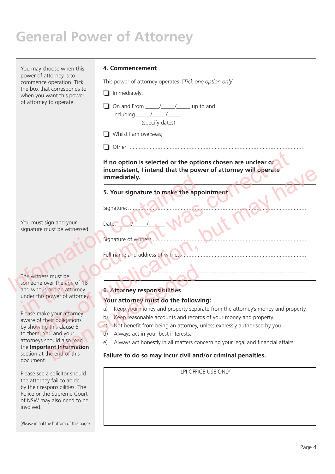You may choose when this power of attorney is to commence operation. Tick the box that corresponds to when you want this power of attorney to operate.

#### **4. Commencement**

This power of attorney operates: [*Tick one option only*]

❏ Immediately;

❏ On and From \_\_\_\_\_/\_\_\_\_\_/\_\_\_\_\_ up to and  $including$  / / (specify dates)

- ❏ Whilst I am overseas;
	-

❏ Other ................................................................................................................

**If no option is selected or the options chosen are unclear or inconsistent, I intend that the power of attorney will operate immediately.** Frequency and working the space of the correct attention of the space of the correct attention of the correct attention of the correct attention of the correct attention of the correct attention of the correct attention of inconsistent, I intend that the power of attorney will operate<br>
immediately.<br>
S. Your signature to make the appointment<br>
signature of witness<br>
ture must sign and your<br>
ture must be withered and actives of witness.<br>
Full na

#### **5. Your signature to make the appointment**

Full name and address of witness ................................................................................

Signature:

Signature of witness.

Date:

You must sign and your signature must be witnessed.

The witness must be someone over the age of 18 and who is not an attorney under this power of attorney. Immediately.<br>
5. Your signature to make the approximature to make the approximature in the signature must be witnessed.<br>
Full name and address of witness<br>
The witness must be<br>
Someone over the age of 18<br>
and who is not an

Please make your attorney aware of their obligations by showing this clause 6 to them. You and your attorneys should also read the **Important Information** section at the end of this document. Figure 10 OC Attorney<br>
Sure the age of 18<br>
Not an attorney<br>
Not an attorney<br>
Not an attorney<br>
Nour attorney must do the follow<br>
e your attorney<br>
eight obligations<br>
(b) Keep reasonable accounts and record<br>
(b) Keep reasonab

Please see a solicitor should the attorney fail to abide by their responsibilities. The Police or the Supreme Court of NSW may also need to be involved.

(Please initial the bottom of this page)

#### **6. Attorney responsibilities**

#### **Your attorney must do the following:**

a) Keep your money and property separate from the attorney's money and property.

...................................................................................................................................

- b) Keep reasonable accounts and records of your money and property.
- c) Not benefit from being an attorney, unless expressly authorised by you.
- d) Always act in your best interests.
- e) Always act honestly in all matters concerning your legal and financial affairs.

#### **Failure to do so may incur civil and/or criminal penalties.**

LPI OFFICE USE ONLY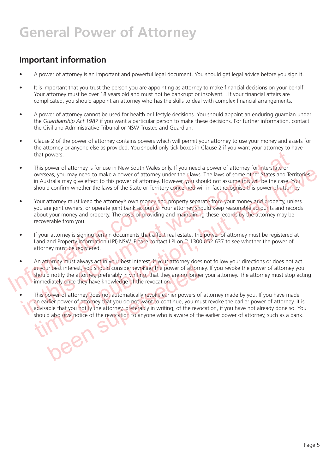## **Important information**

- A power of attorney is an important and powerful legal document. You should get legal advice before you sign it.
- It is important that you trust the person you are appointing as attorney to make financial decisions on your behalf. Your attorney must be over 18 years old and must not be bankrupt or insolvent. . If your financial affairs are complicated, you should appoint an attorney who has the skills to deal with complex financial arrangements.
- A power of attorney cannot be used for health or lifestyle decisions. You should appoint an enduring quardian under the *Guardianship Act 1987* if you want a particular person to make these decisions. For further information, contact the Civil and Administrative Tribunal or NSW Trustee and Guardian.
- Clause 2 of the power of attorney contains powers which will permit your attorney to use your money and assets for the attorney or anyone else as provided. You should only tick boxes in Clause 2 if you want your attorney to have that powers.
- This power of attorney is for use in New South Wales only. If you need a power of attorney for interstate or overseas, you may need to make a power of attorney under their laws. The laws of some other States and Territories in Australia may give effect to this power of attorney. However, you should not assume this will be the case. You should confirm whether the laws of the State or Territory concerned will in fact recognise this power of attorney.
- Your attorney must keep the attorney's own money and property separate from your money and property, unless you are joint owners, or operate joint bank accounts. Your attorney should keep reasonable accounts and records about your money and property. The costs of providing and maintaining these records by the attorney may be recoverable from you.
- If your attorney is signing certain documents that affect real estate, the power of attorney must be registered at Land and Property Information (LPI) NSW. Please contact LPI on T: 1300 052 637 to see whether the power of attorney must be registered.
- An attorney must always act in your best interest. If your attorney does not follow your directions or does not act in your best interest, you should consider revoking the power of attorney. If you revoke the power of attorney you should notify the attorney, preferably in writing, that they are no longer your attorney. The attorney must stop acting immediately once they have knowledge of the revocation. Solution and property of attorney internal and provided in Australian may give effect to this power of attorney. However, you show should confirm whether the laws of the State or Territory concerned with should confirm whe This power of attorney is for use in New South Wales only. If you need a power of attorney for interstate or<br>overseas, you may need to make a power of attorney under their laws. The laws of some other States and Ten<br>in Aus This power of attomey is signing certain documents but my low necessary and the publication and the state of the state of the state. Notice, we can be a power of attomey under their taws. The laws of some other States and
	- This power of attorney does not automatically revoke earlier powers of attorney made by you. If you have made an earlier power of attorney that you do not want to continue, you must revoke the earlier power of attorney. It is advisable that you notify the attorney, preferably in writing, of the revocation, if you have not already done so. You should also give notice of the revocation to anyone who is aware of the earlier power of attorney, such as a bank. Interest, you should consider revoking the power of attord notify the attorney, preferably in writing, that they are no long diately once they have knowledge of the revocation.<br>
	Nower of attorney does not automatically rev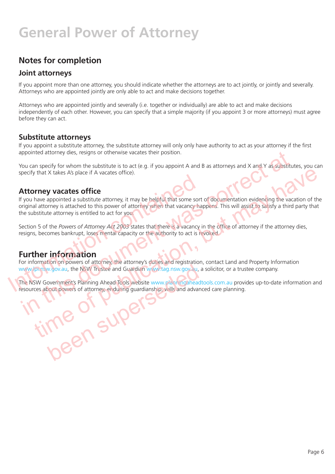## **Notes for completion**

### **Joint attorneys**

If you appoint more than one attorney, you should indicate whether the attorneys are to act jointly, or jointly and severally. Attorneys who are appointed jointly are only able to act and make decisions together.

Attorneys who are appointed jointly and severally (i.e. together or individually) are able to act and make decisions independently of each other. However, you can specify that a simple majority (if you appoint 3 or more attorneys) must agree before they can act.

### **Substitute attorneys**

If you appoint a substitute attorney, the substitute attorney will only only have authority to act as your attorney if the first appointed attorney dies, resigns or otherwise vacates their position.

You can specify for whom the substitute is to act (e.g. if you appoint A and B as attorneys and X and Y as substitutes, you can specify that X takes A's place if A vacates office).

### **Attorney vacates office**

If you have appointed a substitute attorney, it may be helpful that some sort of documentation evidencing the vacation of the original attorney is attached to this power of attorney when that vacancy happens. This will assist to satisfy a third party that the substitute attorney is entitled to act for you. **Attorney vacates office**<br>If you have appointed a substitute attorney, it may be helpful that some sort<br>original attorney is attached to this power of attorney when that vacancy has<br>the substitute attorney is entitled to a in the specific attorney dies, resigns or otherwise vacates their position.<br>
You can specify for whom the substitute is to act (e.g. if you appoint A and B as attorneys and X and Y as substitute<br>
pecify that X takes A's pl that X takes A's place if A vacates office).<br> **orney vacates office**<br>
have appointed a substitute attorney, it may be helpful that some sort of documentation evidencing the vacation of the<br>
latterney is attached to this po

Section 5 of the *Powers of Attorney Act 2003* states that there is a vacancy in the office of attorney if the attorney dies, resigns, becomes bankrupt, loses mental capacity or the authority to act is revoked.

## **Further information**

For information on powers of attorney, the attorney's duties and registration, contact Land and Property Information www.lpi.nsw.gov.au, the NSW Trustee and Guardian www.tag.nsw.gov.au, a solicitor, or a trustee company.

The NSW Government's Planning Ahead Tools website www.planningaheadtools.com.au provides up-to-date information and resources about powers of attorney, enduring guardianship, wills and advanced care planning. W.gov.au, the NSW Trustee and Guardian W.W.tag.nsw.gov.au,<br>overnment's Planning Ahead Tools website www.planningahead<br>oout powers of attorney, enduring guardianship, wills and advantage<br>out powers of attorney, enduring gua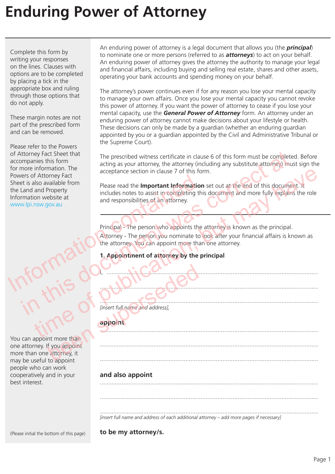Complete this form by writing your responses on the lines. Clauses with options are to be completed by placing a tick in the appropriate box and ruling through those options that do not apply.

These margin notes are not part of the prescribed form and can be removed.

Please refer to the Powers of Attorney Fact Sheet that accompanies this form for more information. The Powers of Attorney Fact Sheet is also available from the Land and Property Information website at www.lpi.nsw.gov.au Powers of Attorney Fact<br>
Sheet is also available from<br>
the Land and Property<br>
Information website at<br>
Information website at<br>
matery includes notes to assist in completing the<br>
www.lpi.nsw.gov.au<br>
Principal - The person wh

You can appoint more than one attorney. If you appoint more than one attorney, it may be useful to appoint people who can work cooperatively and in your best interest. prise de la linsert full name and address),

An enduring power of attorney is a legal document that allows you (the *principal*) to nominate one or more persons (referred to as *attorneys*) to act on your behalf. An enduring power of attorney gives the attorney the authority to manage your legal and financial affairs, including buying and selling real estate, shares and other assets, operating your bank accounts and spending money on your behalf.

The attorney's power continues even if for any reason you lose your mental capacity to manage your own affairs. Once you lose your mental capacity you cannot revoke this power of attorney. If you want the power of attorney to cease if you lose your mental capacity, use the *General Power of Attorney* form. An attorney under an enduring power of attorney cannot make decisions about your lifestyle or health. These decisions can only be made by a guardian (whether an enduring guardian appointed by you or a guardian appointed by the Civil and Administrative Tribunal or the Supreme Court).

The prescribed witness certificate in clause 6 of this form must be completed. Before acting as your attorney, the attorney (including any substitute attorney) must sign the acceptance section in clause 7 of this form.

Please read the **Important Information** set out at the end of this document. It includes notes to assist in completing this document and more fully explains the role and responsibilities of an attorney. The prescribed witness certificate in clause 6 of this form must be completed<br>more information. The acting as your attorney, the attorney (including any substitute attorney) must<br>export at a slow of this form at a separate momentum<br>
And Moment Factor and Property<br>
and Phoenix Please read the **Important Information** set out at the end of this document. It<br>
and Property<br>
in website at<br>
in and responsibilities of an arbitrary.<br>
The person who a

Principal - The person who appoints the attorney is known as the principal.

Attorney - The person you nominate to look after your financial affairs is known as the attorney. You can appoint more than one attorney.

I, ..............................................................................................................................

..................................................................................................................................

..................................................................................................................................

..................................................................................................................................

..................................................................................................................................

..................................................................................................................................

### **1. Appointment of attorney by the principal**

.................................................................................................................................. *[insert full name and address],*

### **appoint**

**and also appoint**  ..................................................................................................................................

.................................................................................................................................. *[insert full name and address of each additional attorney – add more pages if necessary]*

(Please initial the bottom of this page)

**to be my attorney/s.**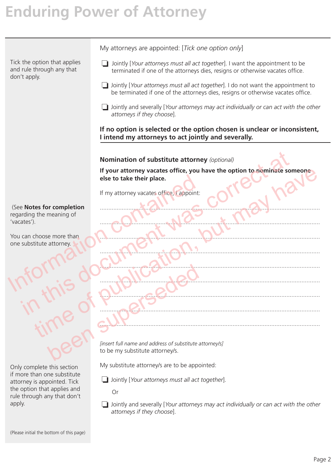Tick the option that applies and rule through any that don't apply.

My attorneys are appointed: [*Tick one option only*]

- ❏ Jointly [*Your attorneys must all act together*]. I want the appointment to be terminated if one of the attorneys dies, resigns or otherwise vacates office.
- ❏ Jointly [*Your attorneys must all act together*]. I do not want the appointment to be terminated if one of the attorneys dies, resigns or otherwise vacates office.
- ❏ Jointly and severally [*Your attorneys may act individually or can act with the other attorneys if they choose*].

**If no option is selected or the option chosen is unclear or inconsistent, I intend my attorneys to act jointly and severally.**

**Nomination of substitute attorney** *(optional)*

**If your attorney vacates office, you have the option to nominate someone else to take their place.**

If my attorney vacates office, I appoint:

### (See **Notes for completion**

regarding the meaning of 'vacates').

You can choose more than one substitute attorney.



Only complete this section if more than one substitute attorney is appointed. Tick the option that applies and rule through any that don't apply.

................................................................................................................................... ................................................................................................................................... ................................................................................................................................... ................................................................................................................................... ................................................................................................................................... ................................................................................................................................... ................................................................................................................................... ................................................................................................................................... ................................................................................................................................... else to take their place.<br>
If my attorney vacates office, Cappoint:<br>
The Notes for completion<br>
The meaning of<br>
The meaning of<br>
The Container of the Magnetic Section of the Container of the Container of the Container of the Notes for completion<br>
Explore atterney vacates office, you have the option to opinifate some<br>
else to take their place.<br>
If my attorney vacates office, you have the option to opinifate some<br>
else to take their place.<br>
If m the publication of the publication of the publication of the publication of the publication of the publication of the publication of the publication of the publication of the publication of the publication of the publicati been substitute attorney's.

*[insert full name and address of substitute attorney/s]* to be my substitute attorney/s.

My substitute attorney/s are to be appointed:

❏ Jointly [*Your attorneys must all act together*].

Or

❏ Jointly and severally [*Your attorneys may act individually or can act with the other attorneys if they choose*].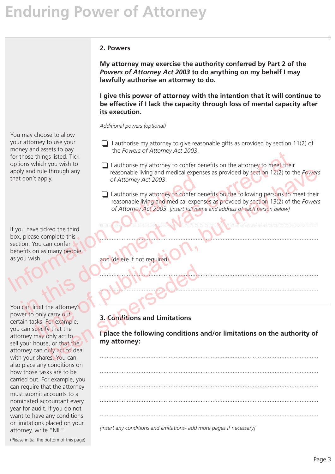#### **2. Powers**

**My attorney may exercise the authority conferred by Part 2 of the**  *Powers of Attorney Act 2003* **to do anything on my behalf I may lawfully authorise an attorney to do.**

**I give this power of attorney with the intention that it will continue to be effective if I lack the capacity through loss of mental capacity after its execution.**

*Additional powers (optional)*

- ❏ I authorise my attorney to give reasonable gifts as provided by section 11(2) of the *Powers of Attorney Act 2003*.
- $\Box$  I authorise my attorney to confer benefits on the attorney to meet their reasonable living and medical expenses as provided by section 12(2) to the *Powers of Attorney Act 2003*. Find this document was contained at the attorney of Attorney Act 2003.<br>
The rowes of Attorney Act 2003.<br>
The resonable living and medical expenses as provided by section 12(2) to the<br>
don't apply.<br>
The attroney Act 2003.<br>
	- ❏ I authorise my attorney to confer benefits on the following persons to meet their reasonable living and medical expenses as provded by section 13(2) of the *Powers of Attorney Act 2003. [insert full name and address of each person below]* The publication of Attorney Act 2003.<br>
	The publication of Attorney Act 2003.<br>
	The authorise my attended cal expenses as provided by section 13(2) of the Powers<br>
	The following persons to meet their<br>
	reasonable living and me

..................................................................................................................................

..................................................................................................................................

..................................................................................................................................

..................................................................................................................................

and (delete if not required)

## **3. Conditions and Limitations**

**I place the following conditions and/or limitations on the authority of my attorney:**

..................................................................................................................................

.................................................................................................................................. .................................................................................................................................. .................................................................................................................................. ..................................................................................................................................

*[insert any conditions and limitations- add more pages if necessary]*

You may choose to allow your attorney to use your money and assets to pay for those things listed. Tick options which you wish to apply and rule through any that don't apply.

If you have ticked the third box, please complete this section. You can confer benefits on as many people as you wish. That don't apply.<br>
That don't apply.<br>
The assonable living and medical experience of Attorney Act 2003.<br>
Insert full name of Attorney Act 2003. [insert full name of Attorney Act 2003. [insert full name of Attorney Act 2003

You can limit the attorney's power to only carry out certain tasks. For example, you can specify that the attorney may only act to sell your house, or that the attorney can only act to deal with your shares. You can also place any conditions on how those tasks are to be carried out. For example, you can require that the attorney must submit accounts to a nominated accountant every year for audit. If you do not want to have any conditions or limitations placed on your attorney, write "NIL". The attorney<br>
the attorney<br>
Control of the attorney<br>
out<br>
only act to deal<br>
the supersed of the following conditions<br>
what the<br>
supersed to deal<br>
the supersed of the following conditions<br>
inly act to deal

(Please initial the bottom of this page)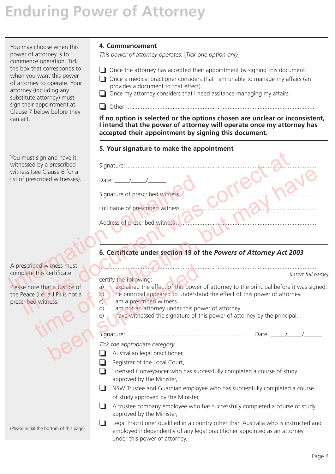You may choose when this power of attorney is to commence operation. Tick the box that corresponds to when you want this power of attorney to operate. Your attorney (including any substitute attorney) must sign their appointment at Clause 7 below before they can act.

Please note that a Justice of the Peace (i.e. a J.P.) is not a prescribed witness. State of this powerficial certificate.<br>
Certify the following:<br>
a J.P.) is not a<br>
a J.P.) is not a<br>
c) The principal appeared to understances.<br>
c) Tam a prescribed witness.<br>
d) Tam not an attorney under this position of th

### **4. Commencement**

*This power of attorney operates:* [*Tick one option only*]

- ❏ Once the attorney has accepted their appointment by signing this document.
- ❏ Once a medical practioner considers that I am unable to manage my affairs (an provides a document to that effect).
- ❏ Once my attorney considers that I need assitance managing my affairs.

❏ Other ................................................................................................................

**If no option is selected or the options chosen are unclear or inconsistent, I intend that the power of attorney will operate once my attorney has accepted their appointment by signing this document.**

### **5. Your signature to make the appointment**

| You must sign and have it<br>witnessed by a prescribed<br>witness (see Clause 6 for a    |                                                                                                                                                                                                                |  |  |
|------------------------------------------------------------------------------------------|----------------------------------------------------------------------------------------------------------------------------------------------------------------------------------------------------------------|--|--|
| list of prescribed witnesses).                                                           | Date: $/$ /<br>Signature of prescribed witness.                                                                                                                                                                |  |  |
|                                                                                          | Full name of prescribed witness                                                                                                                                                                                |  |  |
|                                                                                          | Address of prescribed witness                                                                                                                                                                                  |  |  |
|                                                                                          |                                                                                                                                                                                                                |  |  |
|                                                                                          | 6. Certificate under section 19 of the Powers of Attorney Act 2003                                                                                                                                             |  |  |
| A prescribed witness must                                                                |                                                                                                                                                                                                                |  |  |
| complete this certificate.                                                               | [insert full nam<br>certify the following:                                                                                                                                                                     |  |  |
| Please note that a Justice of<br>the Peace (i.e. a J.P.) is not a<br>prescribed witness. | I explained the effect of this power of attorney to the principal before it was signed<br>a)<br>The principal appeared to understand the effect of this power of attorney.<br>b)<br>I am a prescribed witness. |  |  |
|                                                                                          | I am not an attorney under this power of attorney.<br>d)<br>I have witnessed the signature of this power of attorney by the principal.<br>e)                                                                   |  |  |
|                                                                                          |                                                                                                                                                                                                                |  |  |

## **6. Certificate under section 19 of the** *Powers of Attorney Act 2003*

- certify the following:
- a) I explained the effect of this power of attorney to the principal before it was signed.
- b) The principal appeared to understand the effect of this power of attorney.
- c) I am a prescribed witness.
- d) I am not an attorney under this power of attorney.
- e) I have witnessed the signature of this power of attorney by the principal.

## Signature: ...................................................................... Date: \_\_\_\_\_/\_\_\_\_\_/\_\_\_\_\_\_

- *Tick the appropriate category*
- ❏ Australian legal practitioner,
- ❏ Registrar of the Local Court,
- ❏ Licensed Conveyancer who has successfully completed a course of study approved by the Minister,
- ❏ NSW Trustee and Guardian employee who has successfully completed a course of study approved by the Minister,
- ❏ A trustee company employee who has successfully completed a course of study approved by the Minister,
- ❏ Legal Practitioner qualified in a country other than Australia who is instructed and employed independently of any legal practitioner appointed as an attorney under this power of attorney.

(Please initial the bottom of this page)

*[insert full name]*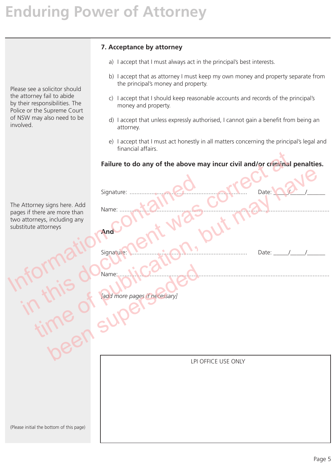# **7. Acceptance by attorney** a) I accept that I must always act in the principal's best interests. b) I accept that as attorney I must keep my own money and property separate from the principal's money and property. c) I accept that I should keep reasonable accounts and records of the principal's money and property. d) I accept that unless expressly authorised, I cannot gain a benefit from being an attorney. e) I accept that I must act honestly in all matters concerning the principal's legal and financial affairs. **Failure to do any of the above may incur civil and/or criminal penalties.** Signature: ...................................................................... Date: \_\_\_\_\_/\_\_\_\_\_/\_\_\_\_\_\_ Name: ............................................................................................................................. **And**  Signature: ...................................................................... Date: \_\_\_\_\_/\_\_\_\_\_/\_\_\_\_\_\_ Name: ............................................................................................................................. *[add more pages if necessary]* LPI OFFICE USE ONLY Please see a solicitor should the attorney fail to abide by their responsibilities. The Police or the Supreme Court of NSW may also need to be involved. The Attorney signs here. Add pages if there are more than two attorneys, including any substitute attorneys (Please initial the bottom of this page) The Attorney signs here. Add<br>
pages if there are more than<br>
two attorneys, including any<br>
substitute attorneys<br>
substitute attorneys<br>
(ATM 2110 signature: Mario California) Failure to do any of the above may incur civil and/or criminal r<br>
Signature:<br>
Attorney signs here. Add<br>
Attorney signs here. Add<br>
Attorney signs here. Add<br>
Attorney signs here. Add<br>
Name:<br>
Attorney signs any<br>
Attorney sign time of publication, but may have been superintended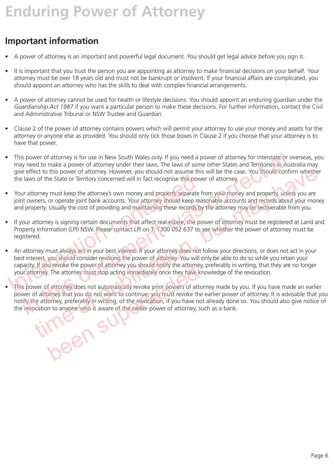# **Important information**

- A power of attorney is an important and powerful legal document. You should get legal advice before you sign it.
- It is important that you trust the person you are appointing as attorney to make financial decisions on your behalf. Your attorney must be over 18 years old and must not be bankrupt or insolvent. If your financial affairs are complicated, you should appoint an attorney who has the skills to deal with complex financial arrangements.
- A power of attorney cannot be used for health or lifestyle decisions. You should appoint an enduring guardian under the *Guardianship Act 1987* if you want a particular person to make these decisions. For further information, contact the Civil and Administrative Tribunal or NSW Trustee and Guardian.
- Clause 2 of the power of attorney contains powers which will permit your attorney to use your money and assets for the attorney or anyone else as provided. You should only tick those boxes in Clause 2 if you choose that your attorney is to have that power.
- This power of attorney is for use in New South Wales only. If you need a power of attorney for interstate or overseas, you may need to make a power of attorney under their laws. The laws of some other States and Territories in Australia may give effect to this power of attorney. However, you should not assume this will be the case. You should confirm whether the laws of the State or Territory concerned will in fact recognise this power of attorney. is power of attorney is for use in New South Wales only. If you need a power of attorney for interstate or over<br>the rap over of attorney under their laws. The laws of some other States and Territories in Aust<br>y need to mak
- Your attorney must keep the attorney's own money and property separate from your money and property, unless you are joint owners, or operate joint bank accounts. Your attorney should keep reasonable accounts and records about your money and property. Usually the cost of providing and maintaining these records by the attorney may be recoverable from you.
- If your attorney is signing certain documents that affect real estate, the power of attorney must be registered at Land and Property Information (LPI) NSW. Please contact LPI on T: 1300 052 637 to see whether the power of attorney must be registered.
- An attorney must always act in your best interest. If your attorney does not follow your directions, or does not act in your best interest, you should consider revoking the power of attorney. You will only be able to do so while you retain your capacity. If you revoke the power of attorney you should notify the attorney, preferably in writing, that they are no longer your attorney. The attorney must stop acting immediately once they have knowledge of the revocation. The laws of the State or Territory concerned will in fact recognise this pow<br>
Your attorney must keep the attorney's own money and property separate f<br>
joint owners, or operate joint bank accounts. Your attorney should kee
- This power of attorney does not automatically revoke prior powers of attorney made by you. If you have made an earlier power of attorney that you do not want to continue, you must revoke the earlier power of attorney. It is advisable that you notify the attorney, preferably in writing, of the revocation, if you have not already done so. You should also give notice of the revocation to anyone who is aware of the earlier power of attorney, such as a bank. ect to this power of attorney. However, you should not assume this will be the case. You should confirm whether<br>so f the State or Territory concerned will in fact recognise this power of attorney.<br>Note that the state or Te been super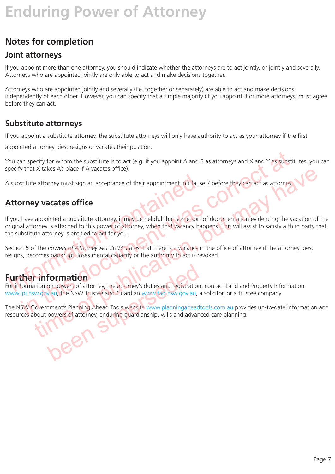# **Notes for completion**

## **Joint attorneys**

If you appoint more than one attorney, you should indicate whether the attorneys are to act jointly, or jointly and severally. Attorneys who are appointed jointly are only able to act and make decisions together.

Attorneys who are appointed jointly and severally (i.e. together or separately) are able to act and make decisions independently of each other. However, you can specify that a simple majority (if you appoint 3 or more attorneys) must agree before they can act.

## **Substitute attorneys**

If you appoint a substitute attorney, the substitute attorneys will only have authority to act as your attorney if the first

appointed attorney dies, resigns or vacates their position.

You can specify for whom the substitute is to act (e.g. if you appoint A and B as attorneys and X and Y as substitutes, you can specify that X takes A's place if A vacates office).

A substitute attorney must sign an acceptance of their appointment in Clause 7 before they can act as attorney

## **Attorney vacates office**

If you have appointed a substitute attorney, it may be helpful that some sort of documentation evidencing the vacation of the original attorney is attached to this power of attorney, when that vacancy happens. This will assist to satisfy a third party that the substitute attorney is entitled to act for you. In substitute attorney must sign an acceptance of their appointment in Claus<br> **Attorney vacates office**<br>
I you have appointed a substitute attorney, it may be helpful that some sort<br>
riginal attorney is attached to this po an specify for whom the substitute is to act (e.g. if you appoint A and B as attorneys and X and Y as substituted that X takes As place if A vacates office).<br>
Stitute attorney must sign an acceptance of their appointment i The actomey must sign an acceptance of their appointment in Clause 7 before they can act as attomey and a substitute attorney must sign an acceptance of their appointment in Clause 7 before they can act as attomey and a su

Section 5 of the *Powers of Attorney Act 2003* states that there is a vacancy in the office of attorney if the attorney dies, resigns, becomes bankrupt, loses mental capacity or the authority to act is revoked.

## **Further information**

For information on powers of attorney, the attorney's duties and registration, contact Land and Property Information www.lpi.nsw.gov.au, the NSW Trustee and Guardian www.tag.nsw.gov.au, a solicitor, or a trustee company. formation<br>on powers of attorney, the attorney's duties and registration<br>v.au, the NSW Trustee and Guardian www.tag.nsw.gov.au,<br>nment's Planning Ahead Tools website www.planningahead<br>powers of attorney, enduring guardianshi

The NSW Government's Planning Ahead Tools website www.planningaheadtools.com.au provides up-to-date information and resources about powers of attorney, enduring guardianship, wills and advanced care planning.